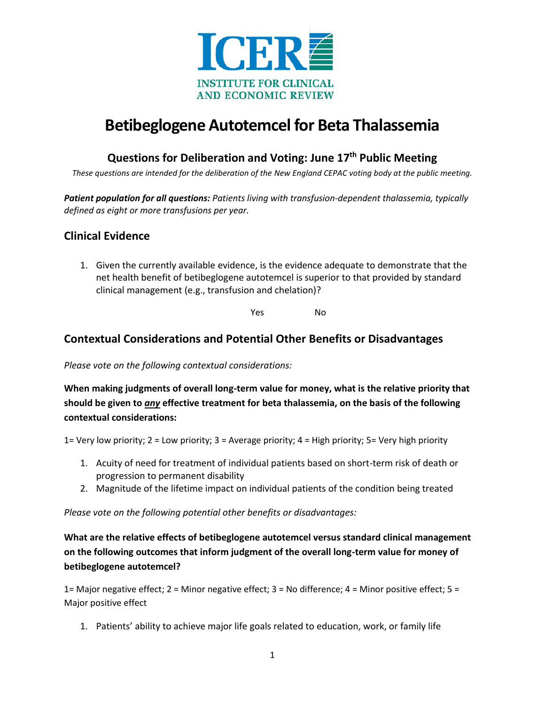

# **Betibeglogene Autotemcel for Beta Thalassemia**

## **Questions for Deliberation and Voting: June 17th Public Meeting**

*These questions are intended for the deliberation of the New England CEPAC voting body at the public meeting.*

*Patient population for all questions: Patients living with transfusion-dependent thalassemia, typically defined as eight or more transfusions per year.* 

#### **Clinical Evidence**

1. Given the currently available evidence, is the evidence adequate to demonstrate that the net health benefit of betibeglogene autotemcel is superior to that provided by standard clinical management (e.g., transfusion and chelation)?

Yes No

### **Contextual Considerations and Potential Other Benefits or Disadvantages**

*Please vote on the following contextual considerations:* 

**When making judgments of overall long-term value for money, what is the relative priority that should be given to** *any* **effective treatment for beta thalassemia, on the basis of the following contextual considerations:** 

1= Very low priority; 2 = Low priority; 3 = Average priority; 4 = High priority; 5= Very high priority

- 1. Acuity of need for treatment of individual patients based on short-term risk of death or progression to permanent disability
- 2. Magnitude of the lifetime impact on individual patients of the condition being treated

*Please vote on the following potential other benefits or disadvantages:* 

**What are the relative effects of betibeglogene autotemcel versus standard clinical management on the following outcomes that inform judgment of the overall long-term value for money of betibeglogene autotemcel?**

1= Major negative effect; 2 = Minor negative effect; 3 = No difference; 4 = Minor positive effect; 5 = Major positive effect

1. Patients' ability to achieve major life goals related to education, work, or family life